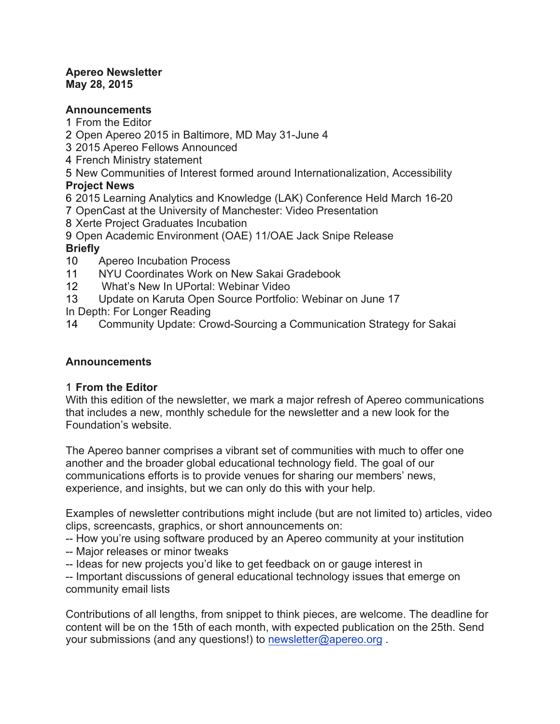#### **Apereo Newsletter May 28, 2015**

### **Announcements**

- 1 From the Editor
- 2 Open Apereo 2015 in Baltimore, MD May 31-June 4
- 3 2015 Apereo Fellows Announced
- 4 French Ministry statement
- 5 New Communities of Interest formed around Internationalization, Accessibility

# **Project News**

- 6 2015 Learning Analytics and Knowledge (LAK) Conference Held March 16-20
- 7 OpenCast at the University of Manchester: Video Presentation
- 8 Xerte Project Graduates Incubation
- 9 Open Academic Environment (OAE) 11/OAE Jack Snipe Release

# **Briefly**

- 10 Apereo Incubation Process
- 11 NYU Coordinates Work on New Sakai Gradebook
- 12 What's New In UPortal: Webinar Video
- 13 Update on Karuta Open Source Portfolio: Webinar on June 17

In Depth: For Longer Reading

14 Community Update: Crowd-Sourcing a Communication Strategy for Sakai

# **Announcements**

# 1 **From the Editor**

With this edition of the newsletter, we mark a major refresh of Apereo communications that includes a new, monthly schedule for the newsletter and a new look for the Foundation's website.

The Apereo banner comprises a vibrant set of communities with much to offer one another and the broader global educational technology field. The goal of our communications efforts is to provide venues for sharing our members' news, experience, and insights, but we can only do this with your help.

Examples of newsletter contributions might include (but are not limited to) articles, video clips, screencasts, graphics, or short announcements on:

-- How you're using software produced by an Apereo community at your institution

- -- Major releases or minor tweaks
- -- Ideas for new projects you'd like to get feedback on or gauge interest in

-- Important discussions of general educational technology issues that emerge on community email lists

Contributions of all lengths, from snippet to think pieces, are welcome. The deadline for content will be on the 15th of each month, with expected publication on the 25th. Send your submissions (and any questions!) to newsletter@apereo.org .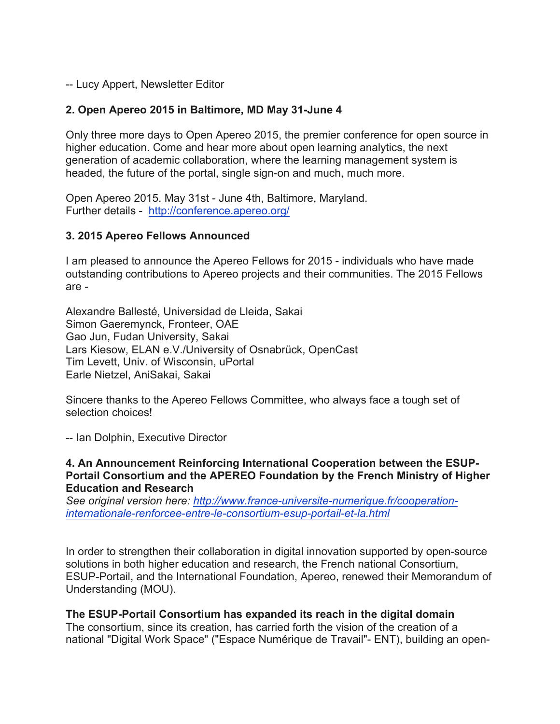-- Lucy Appert, Newsletter Editor

# **2. Open Apereo 2015 in Baltimore, MD May 31-June 4**

Only three more days to Open Apereo 2015, the premier conference for open source in higher education. Come and hear more about open learning analytics, the next generation of academic collaboration, where the learning management system is headed, the future of the portal, single sign-on and much, much more.

Open Apereo 2015. May 31st - June 4th, Baltimore, Maryland. Further details - http://conference.apereo.org/

### **3. 2015 Apereo Fellows Announced**

I am pleased to announce the Apereo Fellows for 2015 - individuals who have made outstanding contributions to Apereo projects and their communities. The 2015 Fellows are -

Alexandre Ballesté, Universidad de Lleida, Sakai Simon Gaeremynck, Fronteer, OAE Gao Jun, Fudan University, Sakai Lars Kiesow, ELAN e.V./University of Osnabrück, OpenCast Tim Levett, Univ. of Wisconsin, uPortal Earle Nietzel, AniSakai, Sakai

Sincere thanks to the Apereo Fellows Committee, who always face a tough set of selection choices!

-- Ian Dolphin, Executive Director

**4. An Announcement Reinforcing International Cooperation between the ESUP-Portail Consortium and the APEREO Foundation by the French Ministry of Higher Education and Research**

*See original version here: http://www.france-universite-numerique.fr/cooperationinternationale-renforcee-entre-le-consortium-esup-portail-et-la.html*

In order to strengthen their collaboration in digital innovation supported by open-source solutions in both higher education and research, the French national Consortium, ESUP-Portail, and the International Foundation, Apereo, renewed their Memorandum of Understanding (MOU).

### **The ESUP-Portail Consortium has expanded its reach in the digital domain**

The consortium, since its creation, has carried forth the vision of the creation of a national "Digital Work Space" ("Espace Numérique de Travail"- ENT), building an open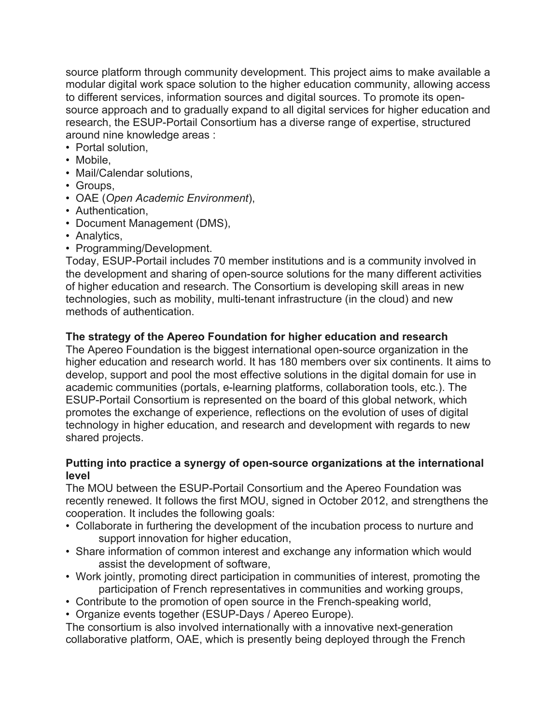source platform through community development. This project aims to make available a modular digital work space solution to the higher education community, allowing access to different services, information sources and digital sources. To promote its opensource approach and to gradually expand to all digital services for higher education and research, the ESUP-Portail Consortium has a diverse range of expertise, structured around nine knowledge areas :

- Portal solution,
- Mobile.
- Mail/Calendar solutions,
- Groups,
- OAE (*Open Academic Environment*),
- Authentication,
- Document Management (DMS),
- Analytics,
- Programming/Development.

Today, ESUP-Portail includes 70 member institutions and is a community involved in the development and sharing of open-source solutions for the many different activities of higher education and research. The Consortium is developing skill areas in new technologies, such as mobility, multi-tenant infrastructure (in the cloud) and new methods of authentication.

# **The strategy of the Apereo Foundation for higher education and research**

The Apereo Foundation is the biggest international open-source organization in the higher education and research world. It has 180 members over six continents. It aims to develop, support and pool the most effective solutions in the digital domain for use in academic communities (portals, e-learning platforms, collaboration tools, etc.). The ESUP-Portail Consortium is represented on the board of this global network, which promotes the exchange of experience, reflections on the evolution of uses of digital technology in higher education, and research and development with regards to new shared projects.

### **Putting into practice a synergy of open-source organizations at the international level**

The MOU between the ESUP-Portail Consortium and the Apereo Foundation was recently renewed. It follows the first MOU, signed in October 2012, and strengthens the cooperation. It includes the following goals:

- Collaborate in furthering the development of the incubation process to nurture and support innovation for higher education,
- Share information of common interest and exchange any information which would assist the development of software,
- Work jointly, promoting direct participation in communities of interest, promoting the participation of French representatives in communities and working groups,
- Contribute to the promotion of open source in the French-speaking world,
- Organize events together (ESUP-Days / Apereo Europe).

The consortium is also involved internationally with a innovative next-generation collaborative platform, OAE, which is presently being deployed through the French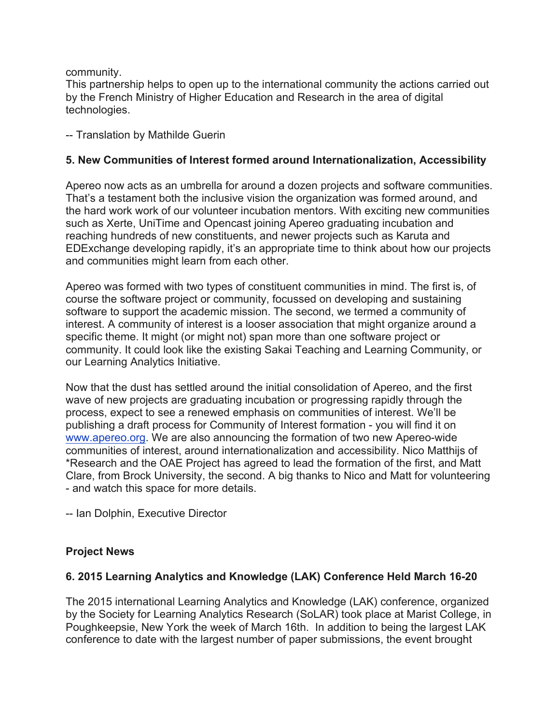community.

This partnership helps to open up to the international community the actions carried out by the French Ministry of Higher Education and Research in the area of digital technologies.

-- Translation by Mathilde Guerin

# **5. New Communities of Interest formed around Internationalization, Accessibility**

Apereo now acts as an umbrella for around a dozen projects and software communities. That's a testament both the inclusive vision the organization was formed around, and the hard work work of our volunteer incubation mentors. With exciting new communities such as Xerte, UniTime and Opencast joining Apereo graduating incubation and reaching hundreds of new constituents, and newer projects such as Karuta and EDExchange developing rapidly, it's an appropriate time to think about how our projects and communities might learn from each other.

Apereo was formed with two types of constituent communities in mind. The first is, of course the software project or community, focussed on developing and sustaining software to support the academic mission. The second, we termed a community of interest. A community of interest is a looser association that might organize around a specific theme. It might (or might not) span more than one software project or community. It could look like the existing Sakai Teaching and Learning Community, or our Learning Analytics Initiative.

Now that the dust has settled around the initial consolidation of Apereo, and the first wave of new projects are graduating incubation or progressing rapidly through the process, expect to see a renewed emphasis on communities of interest. We'll be publishing a draft process for Community of Interest formation - you will find it on www.apereo.org. We are also announcing the formation of two new Apereo-wide communities of interest, around internationalization and accessibility. Nico Matthijs of \*Research and the OAE Project has agreed to lead the formation of the first, and Matt Clare, from Brock University, the second. A big thanks to Nico and Matt for volunteering - and watch this space for more details.

-- Ian Dolphin, Executive Director

# **Project News**

# **6. 2015 Learning Analytics and Knowledge (LAK) Conference Held March 16-20**

The 2015 international Learning Analytics and Knowledge (LAK) conference, organized by the Society for Learning Analytics Research (SoLAR) took place at Marist College, in Poughkeepsie, New York the week of March 16th. In addition to being the largest LAK conference to date with the largest number of paper submissions, the event brought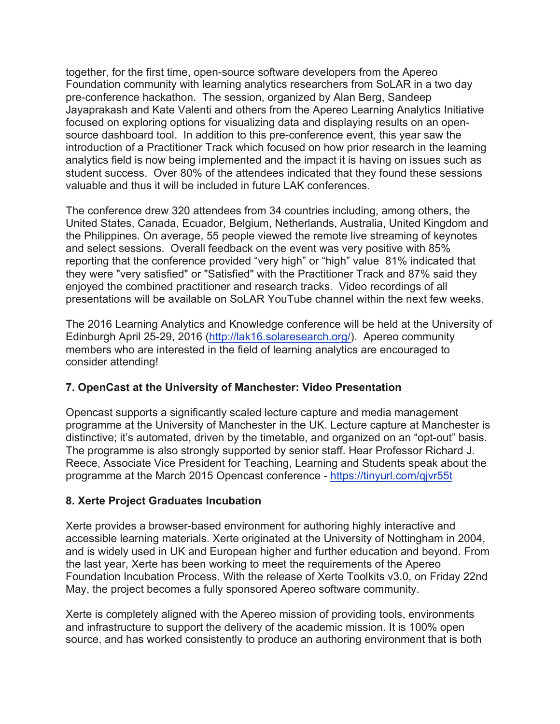together, for the first time, open-source software developers from the Apereo Foundation community with learning analytics researchers from SoLAR in a two day pre-conference hackathon. The session, organized by Alan Berg, Sandeep Jayaprakash and Kate Valenti and others from the Apereo Learning Analytics Initiative focused on exploring options for visualizing data and displaying results on an opensource dashboard tool. In addition to this pre-conference event, this year saw the introduction of a Practitioner Track which focused on how prior research in the learning analytics field is now being implemented and the impact it is having on issues such as student success. Over 80% of the attendees indicated that they found these sessions valuable and thus it will be included in future LAK conferences.

The conference drew 320 attendees from 34 countries including, among others, the United States, Canada, Ecuador, Belgium, Netherlands, Australia, United Kingdom and the Philippines. On average, 55 people viewed the remote live streaming of keynotes and select sessions. Overall feedback on the event was very positive with 85% reporting that the conference provided "very high" or "high" value 81% indicated that they were "very satisfied" or "Satisfied" with the Practitioner Track and 87% said they enjoyed the combined practitioner and research tracks. Video recordings of all presentations will be available on SoLAR YouTube channel within the next few weeks.

The 2016 Learning Analytics and Knowledge conference will be held at the University of Edinburgh April 25-29, 2016 (http://lak16.solaresearch.org/). Apereo community members who are interested in the field of learning analytics are encouraged to consider attending!

# **7. OpenCast at the University of Manchester: Video Presentation**

Opencast supports a significantly scaled lecture capture and media management programme at the University of Manchester in the UK. Lecture capture at Manchester is distinctive; it's automated, driven by the timetable, and organized on an "opt-out" basis. The programme is also strongly supported by senior staff. Hear Professor Richard J. Reece, Associate Vice President for Teaching, Learning and Students speak about the programme at the March 2015 Opencast conference - https://tinyurl.com/qjvr55t

# **8. Xerte Project Graduates Incubation**

Xerte provides a browser-based environment for authoring highly interactive and accessible learning materials. Xerte originated at the University of Nottingham in 2004, and is widely used in UK and European higher and further education and beyond. From the last year, Xerte has been working to meet the requirements of the Apereo Foundation Incubation Process. With the release of Xerte Toolkits v3.0, on Friday 22nd May, the project becomes a fully sponsored Apereo software community.

Xerte is completely aligned with the Apereo mission of providing tools, environments and infrastructure to support the delivery of the academic mission. It is 100% open source, and has worked consistently to produce an authoring environment that is both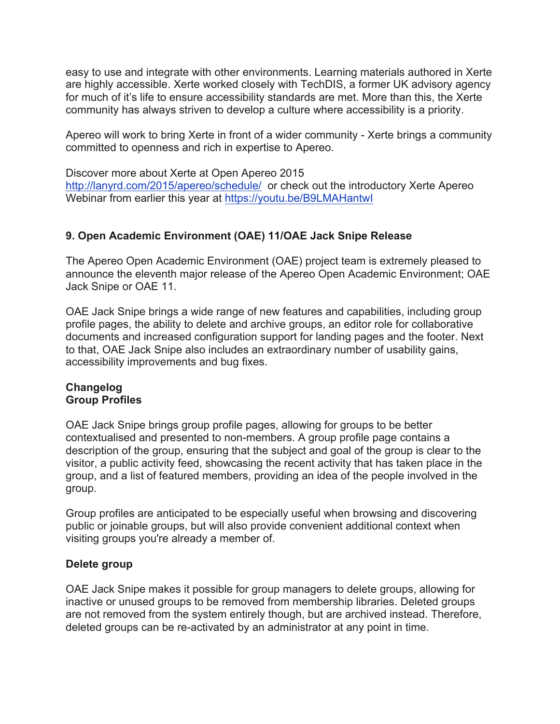easy to use and integrate with other environments. Learning materials authored in Xerte are highly accessible. Xerte worked closely with TechDIS, a former UK advisory agency for much of it's life to ensure accessibility standards are met. More than this, the Xerte community has always striven to develop a culture where accessibility is a priority.

Apereo will work to bring Xerte in front of a wider community - Xerte brings a community committed to openness and rich in expertise to Apereo.

Discover more about Xerte at Open Apereo 2015 http://lanyrd.com/2015/apereo/schedule/ or check out the introductory Xerte Apereo Webinar from earlier this year at https://youtu.be/B9LMAHantwI

# **9. Open Academic Environment (OAE) 11/OAE Jack Snipe Release**

The Apereo Open Academic Environment (OAE) project team is extremely pleased to announce the eleventh major release of the Apereo Open Academic Environment; OAE Jack Snipe or OAE 11.

OAE Jack Snipe brings a wide range of new features and capabilities, including group profile pages, the ability to delete and archive groups, an editor role for collaborative documents and increased configuration support for landing pages and the footer. Next to that, OAE Jack Snipe also includes an extraordinary number of usability gains, accessibility improvements and bug fixes.

### **Changelog Group Profiles**

OAE Jack Snipe brings group profile pages, allowing for groups to be better contextualised and presented to non-members. A group profile page contains a description of the group, ensuring that the subject and goal of the group is clear to the visitor, a public activity feed, showcasing the recent activity that has taken place in the group, and a list of featured members, providing an idea of the people involved in the group.

Group profiles are anticipated to be especially useful when browsing and discovering public or joinable groups, but will also provide convenient additional context when visiting groups you're already a member of.

### **Delete group**

OAE Jack Snipe makes it possible for group managers to delete groups, allowing for inactive or unused groups to be removed from membership libraries. Deleted groups are not removed from the system entirely though, but are archived instead. Therefore, deleted groups can be re-activated by an administrator at any point in time.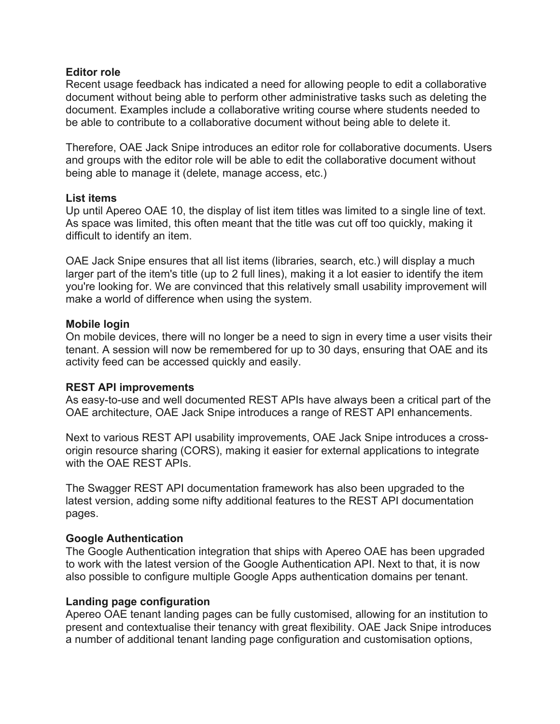### **Editor role**

Recent usage feedback has indicated a need for allowing people to edit a collaborative document without being able to perform other administrative tasks such as deleting the document. Examples include a collaborative writing course where students needed to be able to contribute to a collaborative document without being able to delete it.

Therefore, OAE Jack Snipe introduces an editor role for collaborative documents. Users and groups with the editor role will be able to edit the collaborative document without being able to manage it (delete, manage access, etc.)

### **List items**

Up until Apereo OAE 10, the display of list item titles was limited to a single line of text. As space was limited, this often meant that the title was cut off too quickly, making it difficult to identify an item.

OAE Jack Snipe ensures that all list items (libraries, search, etc.) will display a much larger part of the item's title (up to 2 full lines), making it a lot easier to identify the item you're looking for. We are convinced that this relatively small usability improvement will make a world of difference when using the system.

### **Mobile login**

On mobile devices, there will no longer be a need to sign in every time a user visits their tenant. A session will now be remembered for up to 30 days, ensuring that OAE and its activity feed can be accessed quickly and easily.

### **REST API improvements**

As easy-to-use and well documented REST APIs have always been a critical part of the OAE architecture, OAE Jack Snipe introduces a range of REST API enhancements.

Next to various REST API usability improvements, OAE Jack Snipe introduces a crossorigin resource sharing (CORS), making it easier for external applications to integrate with the OAE REST APIs.

The Swagger REST API documentation framework has also been upgraded to the latest version, adding some nifty additional features to the REST API documentation pages.

#### **Google Authentication**

The Google Authentication integration that ships with Apereo OAE has been upgraded to work with the latest version of the Google Authentication API. Next to that, it is now also possible to configure multiple Google Apps authentication domains per tenant.

#### **Landing page configuration**

Apereo OAE tenant landing pages can be fully customised, allowing for an institution to present and contextualise their tenancy with great flexibility. OAE Jack Snipe introduces a number of additional tenant landing page configuration and customisation options,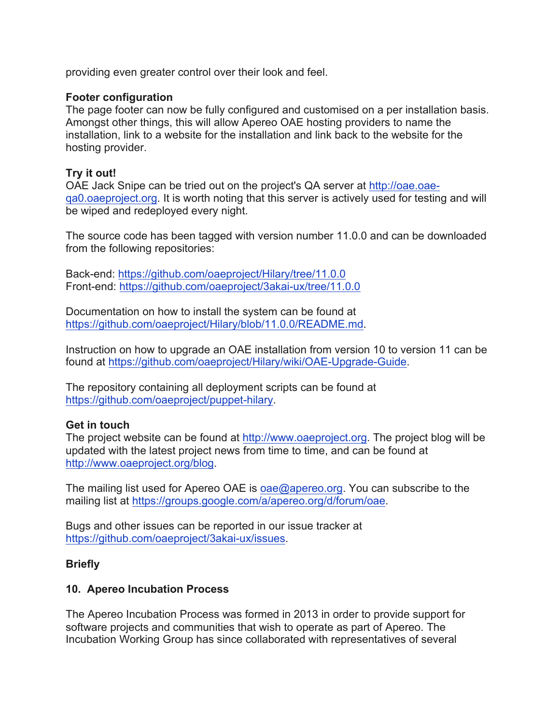providing even greater control over their look and feel.

### **Footer configuration**

The page footer can now be fully configured and customised on a per installation basis. Amongst other things, this will allow Apereo OAE hosting providers to name the installation, link to a website for the installation and link back to the website for the hosting provider.

### **Try it out!**

OAE Jack Snipe can be tried out on the project's QA server at http://oae.oaeqa0.oaeproject.org. It is worth noting that this server is actively used for testing and will be wiped and redeployed every night.

The source code has been tagged with version number 11.0.0 and can be downloaded from the following repositories:

Back-end: https://github.com/oaeproject/Hilary/tree/11.0.0 Front-end: https://github.com/oaeproject/3akai-ux/tree/11.0.0

Documentation on how to install the system can be found at https://github.com/oaeproject/Hilary/blob/11.0.0/README.md.

Instruction on how to upgrade an OAE installation from version 10 to version 11 can be found at https://github.com/oaeproject/Hilary/wiki/OAE-Upgrade-Guide.

The repository containing all deployment scripts can be found at https://github.com/oaeproject/puppet-hilary.

#### **Get in touch**

The project website can be found at http://www.oaeproject.org. The project blog will be updated with the latest project news from time to time, and can be found at http://www.oaeproject.org/blog.

The mailing list used for Apereo OAE is oae@apereo.org. You can subscribe to the mailing list at https://groups.google.com/a/apereo.org/d/forum/oae.

Bugs and other issues can be reported in our issue tracker at https://github.com/oaeproject/3akai-ux/issues.

#### **Briefly**

### **10. Apereo Incubation Process**

The Apereo Incubation Process was formed in 2013 in order to provide support for software projects and communities that wish to operate as part of Apereo. The Incubation Working Group has since collaborated with representatives of several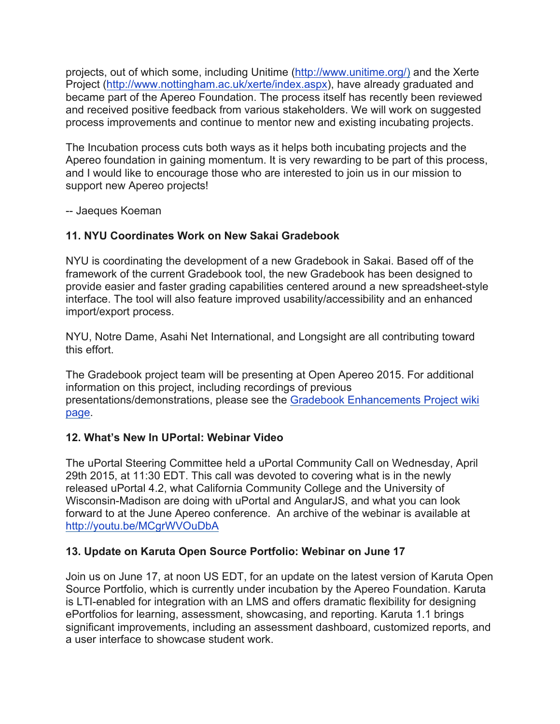projects, out of which some, including Unitime (http://www.unitime.org/) and the Xerte Project (http://www.nottingham.ac.uk/xerte/index.aspx), have already graduated and became part of the Apereo Foundation. The process itself has recently been reviewed and received positive feedback from various stakeholders. We will work on suggested process improvements and continue to mentor new and existing incubating projects.

The Incubation process cuts both ways as it helps both incubating projects and the Apereo foundation in gaining momentum. It is very rewarding to be part of this process, and I would like to encourage those who are interested to join us in our mission to support new Apereo projects!

-- Jaeques Koeman

# **11. NYU Coordinates Work on New Sakai Gradebook**

NYU is coordinating the development of a new Gradebook in Sakai. Based off of the framework of the current Gradebook tool, the new Gradebook has been designed to provide easier and faster grading capabilities centered around a new spreadsheet-style interface. The tool will also feature improved usability/accessibility and an enhanced import/export process.

NYU, Notre Dame, Asahi Net International, and Longsight are all contributing toward this effort.

The Gradebook project team will be presenting at Open Apereo 2015. For additional information on this project, including recordings of previous presentations/demonstrations, please see the Gradebook Enhancements Project wiki page.

# **12. What's New In UPortal: Webinar Video**

The uPortal Steering Committee held a uPortal Community Call on Wednesday, April 29th 2015, at 11:30 EDT. This call was devoted to covering what is in the newly released uPortal 4.2, what California Community College and the University of Wisconsin-Madison are doing with uPortal and AngularJS, and what you can look forward to at the June Apereo conference. An archive of the webinar is available at http://youtu.be/MCgrWVOuDbA

# **13. Update on Karuta Open Source Portfolio: Webinar on June 17**

Join us on June 17, at noon US EDT, for an update on the latest version of Karuta Open Source Portfolio, which is currently under incubation by the Apereo Foundation. Karuta is LTI-enabled for integration with an LMS and offers dramatic flexibility for designing ePortfolios for learning, assessment, showcasing, and reporting. Karuta 1.1 brings significant improvements, including an assessment dashboard, customized reports, and a user interface to showcase student work.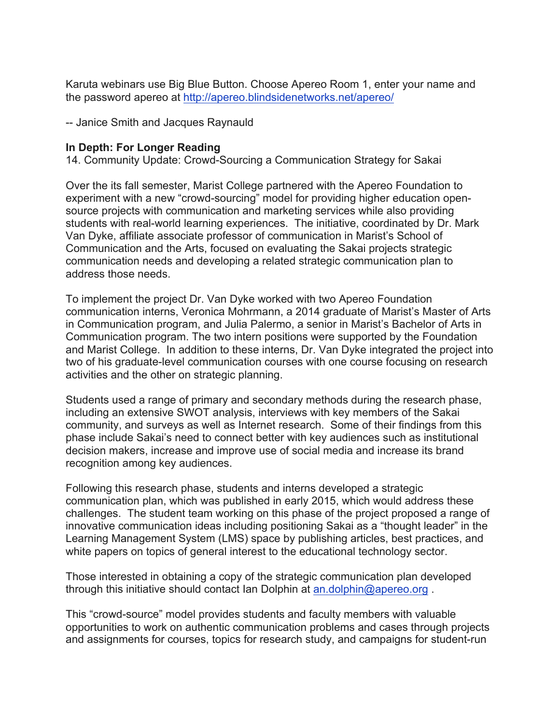Karuta webinars use Big Blue Button. Choose Apereo Room 1, enter your name and the password apereo at http://apereo.blindsidenetworks.net/apereo/

-- Janice Smith and Jacques Raynauld

#### **In Depth: For Longer Reading**

14. Community Update: Crowd-Sourcing a Communication Strategy for Sakai

Over the its fall semester, Marist College partnered with the Apereo Foundation to experiment with a new "crowd-sourcing" model for providing higher education opensource projects with communication and marketing services while also providing students with real-world learning experiences. The initiative, coordinated by Dr. Mark Van Dyke, affiliate associate professor of communication in Marist's School of Communication and the Arts, focused on evaluating the Sakai projects strategic communication needs and developing a related strategic communication plan to address those needs.

To implement the project Dr. Van Dyke worked with two Apereo Foundation communication interns, Veronica Mohrmann, a 2014 graduate of Marist's Master of Arts in Communication program, and Julia Palermo, a senior in Marist's Bachelor of Arts in Communication program. The two intern positions were supported by the Foundation and Marist College. In addition to these interns, Dr. Van Dyke integrated the project into two of his graduate-level communication courses with one course focusing on research activities and the other on strategic planning.

Students used a range of primary and secondary methods during the research phase, including an extensive SWOT analysis, interviews with key members of the Sakai community, and surveys as well as Internet research. Some of their findings from this phase include Sakai's need to connect better with key audiences such as institutional decision makers, increase and improve use of social media and increase its brand recognition among key audiences.

Following this research phase, students and interns developed a strategic communication plan, which was published in early 2015, which would address these challenges. The student team working on this phase of the project proposed a range of innovative communication ideas including positioning Sakai as a "thought leader" in the Learning Management System (LMS) space by publishing articles, best practices, and white papers on topics of general interest to the educational technology sector.

Those interested in obtaining a copy of the strategic communication plan developed through this initiative should contact Ian Dolphin at an.dolphin@apereo.org .

This "crowd-source" model provides students and faculty members with valuable opportunities to work on authentic communication problems and cases through projects and assignments for courses, topics for research study, and campaigns for student-run